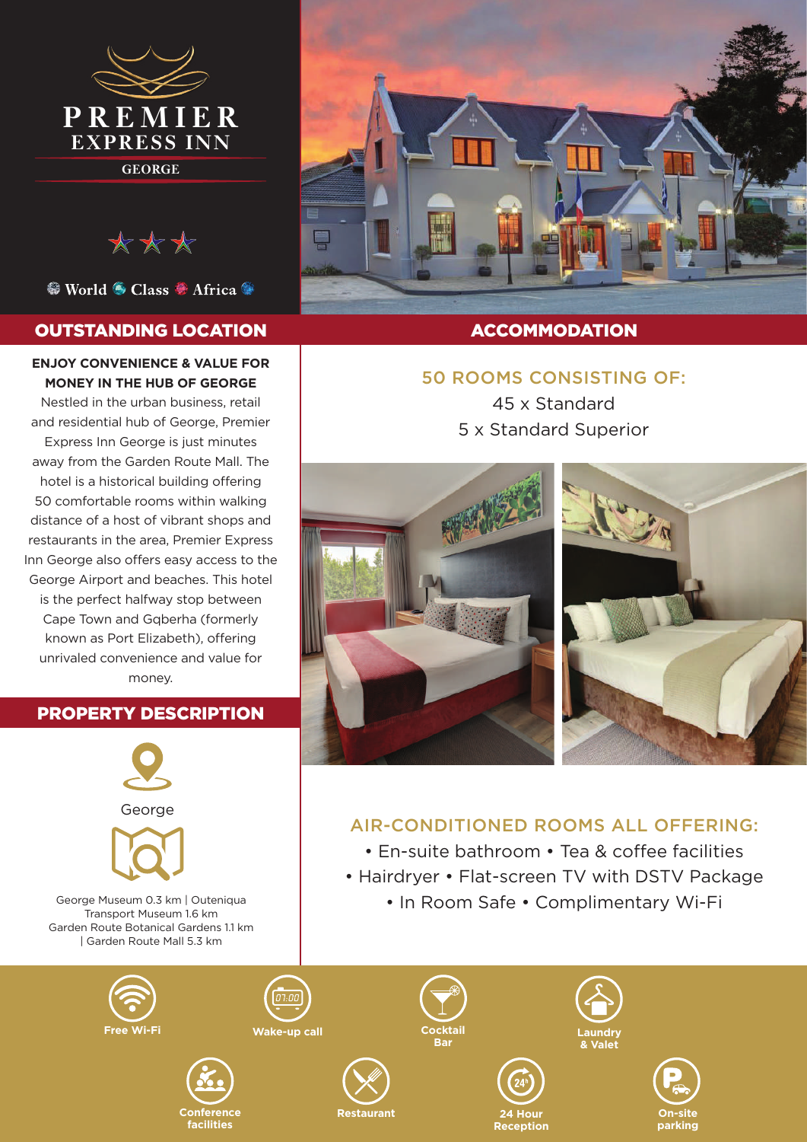

\*\*\*

<sup>©</sup> World <sup>⊙</sup> Class <sup>©</sup> Africa <sup>©</sup>

## OUTSTANDING LOCATION

#### **ENJOY CONVENIENCE & VALUE FOR MONEY IN THE HUB OF GEORGE**

Nestled in the urban business, retail and residential hub of George, Premier Express Inn George is just minutes away from the Garden Route Mall. The hotel is a historical building offering 50 comfortable rooms within walking distance of a host of vibrant shops and restaurants in the area, Premier Express Inn George also offers easy access to the George Airport and beaches. This hotel is the perfect halfway stop between Cape Town and Gqberha (formerly known as Port Elizabeth), offering unrivaled convenience and value for money.

## PROPERTY DESCRIPTION









## ACCOMMODATION

## 50 ROOMS CONSISTING OF:

45 x Standard 5 x Standard Superior



# AIR-CONDITIONED ROOMS ALL OFFERING:

• En-suite bathroom • Tea & coffee facilities • Hairdryer • Flat-screen TV with DSTV Package

• In Room Safe • Complimentary Wi-Fi

**24 Hour Reception**

**Wake-up call**